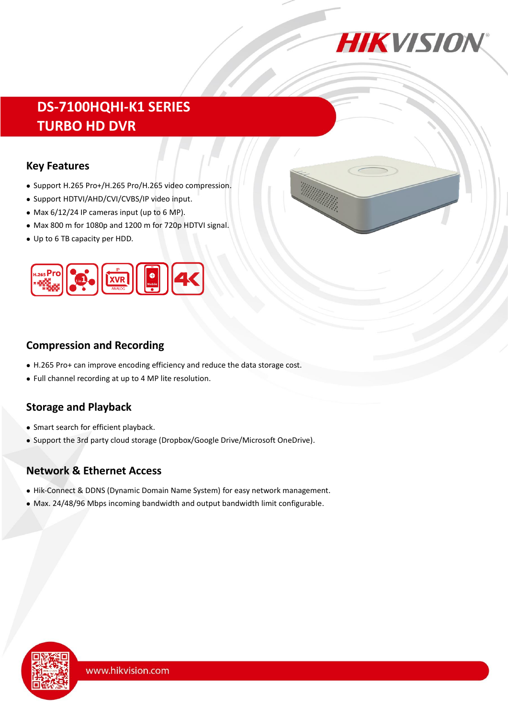

# **DS-7100HQHI-K1 SERIES TURBO HD DVR**

#### **Key Features**

- Support H.265 Pro+/H.265 Pro/H.265 video compression.
- Support HDTVI/AHD/CVI/CVBS/IP video input.
- Max 6/12/24 IP cameras input (up to 6 MP).
- Max 800 m for 1080p and 1200 m for 720p HDTVI signal.
- Up to 6 TB capacity per HDD.



### **Compression and Recording**

- H.265 Pro+ can improve encoding efficiency and reduce the data storage cost.
- Full channel recording at up to 4 MP lite resolution.

## **Storage and Playback**

- Smart search for efficient playback.
- Support the 3rd party cloud storage (Dropbox/Google Drive/Microsoft OneDrive).

### **Network & Ethernet Access**

- Hik-Connect & DDNS (Dynamic Domain Name System) for easy network management.
- Max. 24/48/96 Mbps incoming bandwidth and output bandwidth limit configurable.

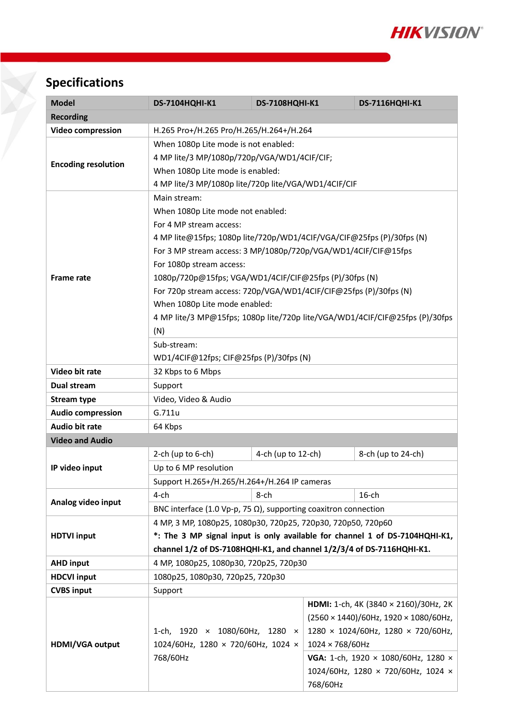

# **Specifications**

| <b>Model</b>               | <b>DS-7104HQHI-K1</b>                                                       | <b>DS-7108HQHI-K1</b> |                                               | <b>DS-7116HQHI-K1</b> |  |  |  |
|----------------------------|-----------------------------------------------------------------------------|-----------------------|-----------------------------------------------|-----------------------|--|--|--|
| <b>Recording</b>           |                                                                             |                       |                                               |                       |  |  |  |
| <b>Video compression</b>   | H.265 Pro+/H.265 Pro/H.265/H.264+/H.264                                     |                       |                                               |                       |  |  |  |
| <b>Encoding resolution</b> | When 1080p Lite mode is not enabled:                                        |                       |                                               |                       |  |  |  |
|                            | 4 MP lite/3 MP/1080p/720p/VGA/WD1/4CIF/CIF;                                 |                       |                                               |                       |  |  |  |
|                            | When 1080p Lite mode is enabled:                                            |                       |                                               |                       |  |  |  |
|                            | 4 MP lite/3 MP/1080p lite/720p lite/VGA/WD1/4CIF/CIF                        |                       |                                               |                       |  |  |  |
|                            | Main stream:                                                                |                       |                                               |                       |  |  |  |
| <b>Frame rate</b>          | When 1080p Lite mode not enabled:                                           |                       |                                               |                       |  |  |  |
|                            | For 4 MP stream access:                                                     |                       |                                               |                       |  |  |  |
|                            | 4 MP lite@15fps; 1080p lite/720p/WD1/4CIF/VGA/CIF@25fps (P)/30fps (N)       |                       |                                               |                       |  |  |  |
|                            | For 3 MP stream access: 3 MP/1080p/720p/VGA/WD1/4CIF/CIF@15fps              |                       |                                               |                       |  |  |  |
|                            | For 1080p stream access:                                                    |                       |                                               |                       |  |  |  |
|                            | 1080p/720p@15fps; VGA/WD1/4CIF/CIF@25fps (P)/30fps (N)                      |                       |                                               |                       |  |  |  |
|                            | For 720p stream access: 720p/VGA/WD1/4CIF/CIF@25fps (P)/30fps (N)           |                       |                                               |                       |  |  |  |
|                            | When 1080p Lite mode enabled:                                               |                       |                                               |                       |  |  |  |
|                            | 4 MP lite/3 MP@15fps; 1080p lite/720p lite/VGA/WD1/4CIF/CIF@25fps (P)/30fps |                       |                                               |                       |  |  |  |
|                            | (N)                                                                         |                       |                                               |                       |  |  |  |
|                            | Sub-stream:                                                                 |                       |                                               |                       |  |  |  |
|                            | WD1/4CIF@12fps; CIF@25fps (P)/30fps (N)                                     |                       |                                               |                       |  |  |  |
| Video bit rate             | 32 Kbps to 6 Mbps                                                           |                       |                                               |                       |  |  |  |
| Dual stream                | Support                                                                     |                       |                                               |                       |  |  |  |
| <b>Stream type</b>         | Video, Video & Audio                                                        |                       |                                               |                       |  |  |  |
| <b>Audio compression</b>   | G.711u                                                                      |                       |                                               |                       |  |  |  |
| <b>Audio bit rate</b>      | 64 Kbps                                                                     |                       |                                               |                       |  |  |  |
| <b>Video and Audio</b>     |                                                                             |                       |                                               |                       |  |  |  |
|                            | 4-ch (up to 12-ch)<br>2-ch (up to $6$ -ch)<br>8-ch (up to 24-ch)            |                       |                                               |                       |  |  |  |
| IP video input             | Up to 6 MP resolution                                                       |                       |                                               |                       |  |  |  |
|                            | Support H.265+/H.265/H.264+/H.264 IP cameras                                |                       |                                               |                       |  |  |  |
| Analog video input         | $4$ -ch                                                                     | 8-ch                  |                                               | $16$ -ch              |  |  |  |
|                            | BNC interface (1.0 Vp-p, 75 $\Omega$ ), supporting coaxitron connection     |                       |                                               |                       |  |  |  |
|                            | 4 MP, 3 MP, 1080p25, 1080p30, 720p25, 720p30, 720p50, 720p60                |                       |                                               |                       |  |  |  |
| <b>HDTVI input</b>         | *: The 3 MP signal input is only available for channel 1 of DS-7104HQHI-K1, |                       |                                               |                       |  |  |  |
|                            | channel 1/2 of DS-7108HQHI-K1, and channel 1/2/3/4 of DS-7116HQHI-K1.       |                       |                                               |                       |  |  |  |
| <b>AHD input</b>           | 4 MP, 1080p25, 1080p30, 720p25, 720p30                                      |                       |                                               |                       |  |  |  |
| <b>HDCVI input</b>         | 1080p25, 1080p30, 720p25, 720p30                                            |                       |                                               |                       |  |  |  |
| <b>CVBS input</b>          | Support                                                                     |                       |                                               |                       |  |  |  |
|                            | HDMI: 1-ch, 4K (3840 × 2160)/30Hz, 2K                                       |                       |                                               |                       |  |  |  |
|                            |                                                                             |                       | $(2560 \times 1440)/60$ Hz, 1920 × 1080/60Hz, |                       |  |  |  |
| HDMI/VGA output            | 1280 × 1024/60Hz, 1280 × 720/60Hz,<br>1-ch, 1920 × 1080/60Hz, 1280 ×        |                       |                                               |                       |  |  |  |
|                            | 1024/60Hz, 1280 × 720/60Hz, 1024 ×                                          |                       | 1024 × 768/60Hz                               |                       |  |  |  |
|                            | 768/60Hz                                                                    |                       | VGA: 1-ch, 1920 × 1080/60Hz, 1280 ×           |                       |  |  |  |
|                            |                                                                             |                       | 1024/60Hz, 1280 × 720/60Hz, 1024 ×            |                       |  |  |  |
|                            |                                                                             |                       | 768/60Hz                                      |                       |  |  |  |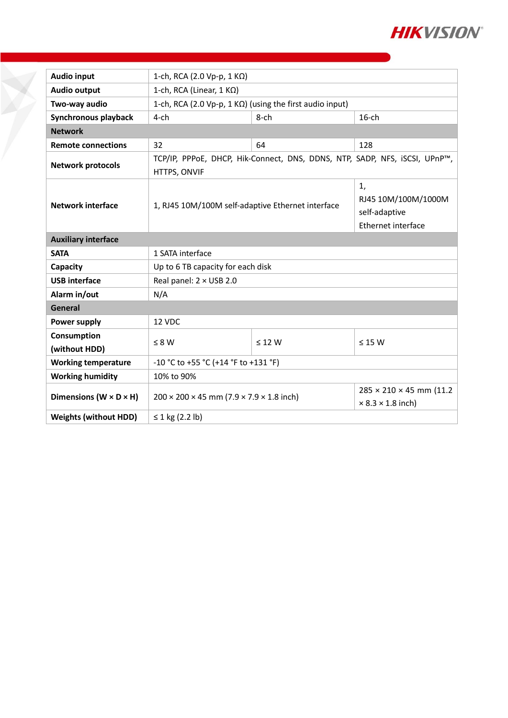

| <b>Audio input</b>                   | 1-ch, RCA (2.0 Vp-p, 1 KΩ)                                                                 |                                                                  |                                                                         |  |  |  |
|--------------------------------------|--------------------------------------------------------------------------------------------|------------------------------------------------------------------|-------------------------------------------------------------------------|--|--|--|
| <b>Audio output</b>                  | 1-ch, RCA (Linear, $1 K\Omega$ )                                                           |                                                                  |                                                                         |  |  |  |
| Two-way audio                        | 1-ch, RCA (2.0 Vp-p, 1 K $\Omega$ ) (using the first audio input)                          |                                                                  |                                                                         |  |  |  |
| Synchronous playback                 | $4$ -ch                                                                                    | $8$ -ch                                                          | $16$ -ch                                                                |  |  |  |
| <b>Network</b>                       |                                                                                            |                                                                  |                                                                         |  |  |  |
| <b>Remote connections</b>            | 32                                                                                         | 64                                                               | 128                                                                     |  |  |  |
| <b>Network protocols</b>             | TCP/IP, PPPoE, DHCP, Hik-Connect, DNS, DDNS, NTP, SADP, NFS, iSCSI, UPnP™,<br>HTTPS, ONVIF |                                                                  |                                                                         |  |  |  |
| <b>Network interface</b>             | 1, RJ45 10M/100M self-adaptive Ethernet interface                                          | 1,<br>RJ45 10M/100M/1000M<br>self-adaptive<br>Ethernet interface |                                                                         |  |  |  |
| <b>Auxiliary interface</b>           |                                                                                            |                                                                  |                                                                         |  |  |  |
| <b>SATA</b>                          | 1 SATA interface                                                                           |                                                                  |                                                                         |  |  |  |
| Capacity                             | Up to 6 TB capacity for each disk                                                          |                                                                  |                                                                         |  |  |  |
| <b>USB</b> interface                 | Real panel: 2 × USB 2.0                                                                    |                                                                  |                                                                         |  |  |  |
| Alarm in/out                         | N/A                                                                                        |                                                                  |                                                                         |  |  |  |
| General                              |                                                                                            |                                                                  |                                                                         |  |  |  |
| <b>Power supply</b>                  | 12 VDC                                                                                     |                                                                  |                                                                         |  |  |  |
| Consumption<br>(without HDD)         | $\leq 8 W$                                                                                 | $\leq 12$ W                                                      | $\leq$ 15 W                                                             |  |  |  |
| <b>Working temperature</b>           | -10 °C to +55 °C (+14 °F to +131 °F)                                                       |                                                                  |                                                                         |  |  |  |
| <b>Working humidity</b>              | 10% to 90%                                                                                 |                                                                  |                                                                         |  |  |  |
| Dimensions ( $W \times D \times H$ ) | $200 \times 200 \times 45$ mm (7.9 $\times$ 7.9 $\times$ 1.8 inch)                         |                                                                  | $285 \times 210 \times 45$ mm (11.2)<br>$\times$ 8.3 $\times$ 1.8 inch) |  |  |  |
| <b>Weights (without HDD)</b>         | ≤ 1 kg $(2.2 \text{ lb})$                                                                  |                                                                  |                                                                         |  |  |  |

Y